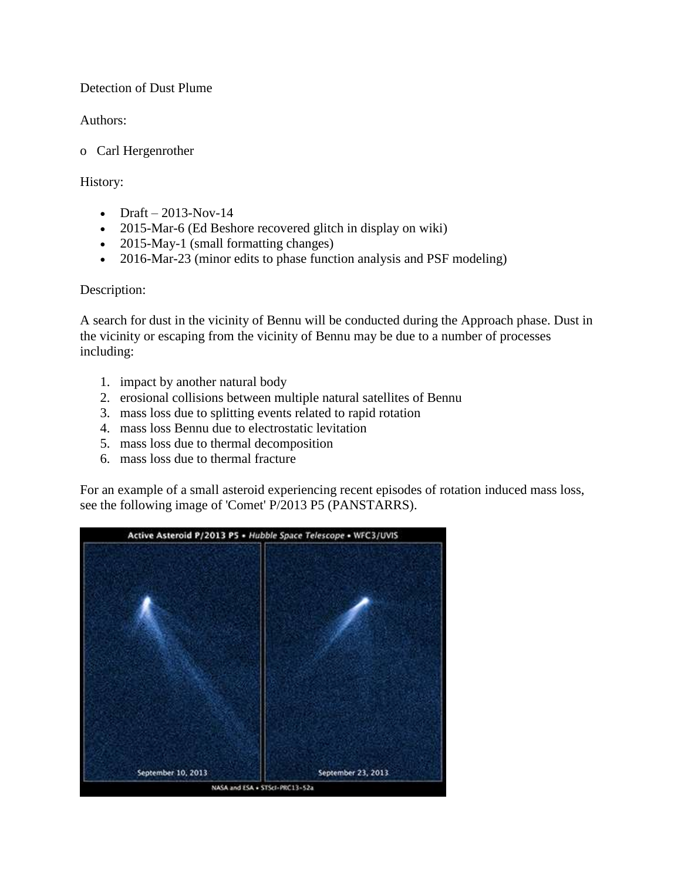### Detection of Dust Plume

Authors:

o Carl Hergenrother

History:

- Draft  $2013$ -Nov-14
- 2015-Mar-6 (Ed Beshore recovered glitch in display on wiki)
- 2015-May-1 (small formatting changes)
- 2016-Mar-23 (minor edits to phase function analysis and PSF modeling)

# Description:

A search for dust in the vicinity of Bennu will be conducted during the Approach phase. Dust in the vicinity or escaping from the vicinity of Bennu may be due to a number of processes including:

- 1. impact by another natural body
- 2. erosional collisions between multiple natural satellites of Bennu
- 3. mass loss due to splitting events related to rapid rotation
- 4. mass loss Bennu due to electrostatic levitation
- 5. mass loss due to thermal decomposition
- 6. mass loss due to thermal fracture

For an example of a small asteroid experiencing recent episodes of rotation induced mass loss, see the following image of 'Comet' P/2013 P5 (PANSTARRS).

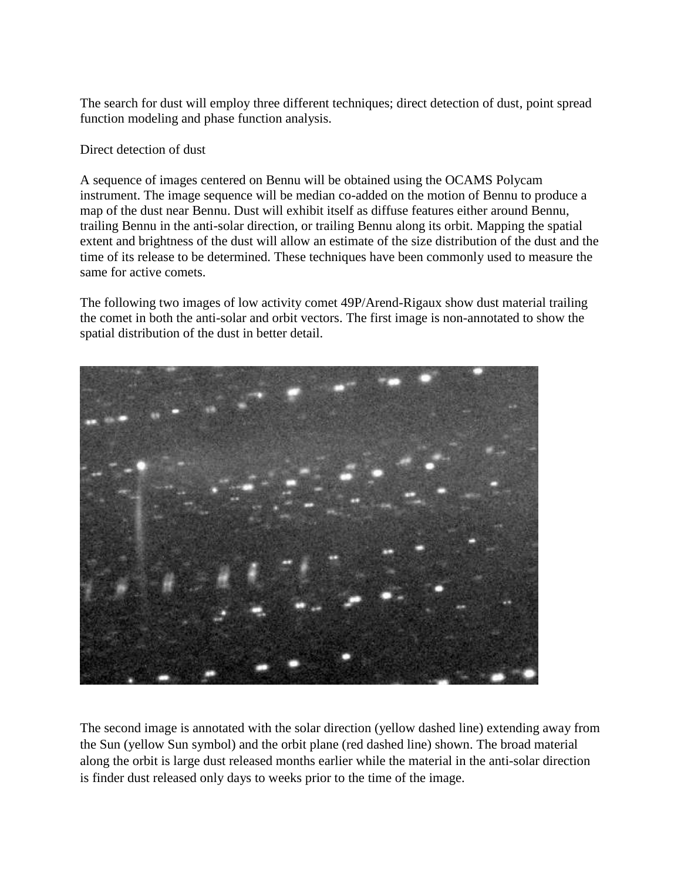The search for dust will employ three different techniques; direct detection of dust, point spread function modeling and phase function analysis.

Direct detection of dust

A sequence of images centered on Bennu will be obtained using the OCAMS Polycam instrument. The image sequence will be median co-added on the motion of Bennu to produce a map of the dust near Bennu. Dust will exhibit itself as diffuse features either around Bennu, trailing Bennu in the anti-solar direction, or trailing Bennu along its orbit. Mapping the spatial extent and brightness of the dust will allow an estimate of the size distribution of the dust and the time of its release to be determined. These techniques have been commonly used to measure the same for active comets.

The following two images of low activity comet 49P/Arend-Rigaux show dust material trailing the comet in both the anti-solar and orbit vectors. The first image is non-annotated to show the spatial distribution of the dust in better detail.



The second image is annotated with the solar direction (yellow dashed line) extending away from the Sun (yellow Sun symbol) and the orbit plane (red dashed line) shown. The broad material along the orbit is large dust released months earlier while the material in the anti-solar direction is finder dust released only days to weeks prior to the time of the image.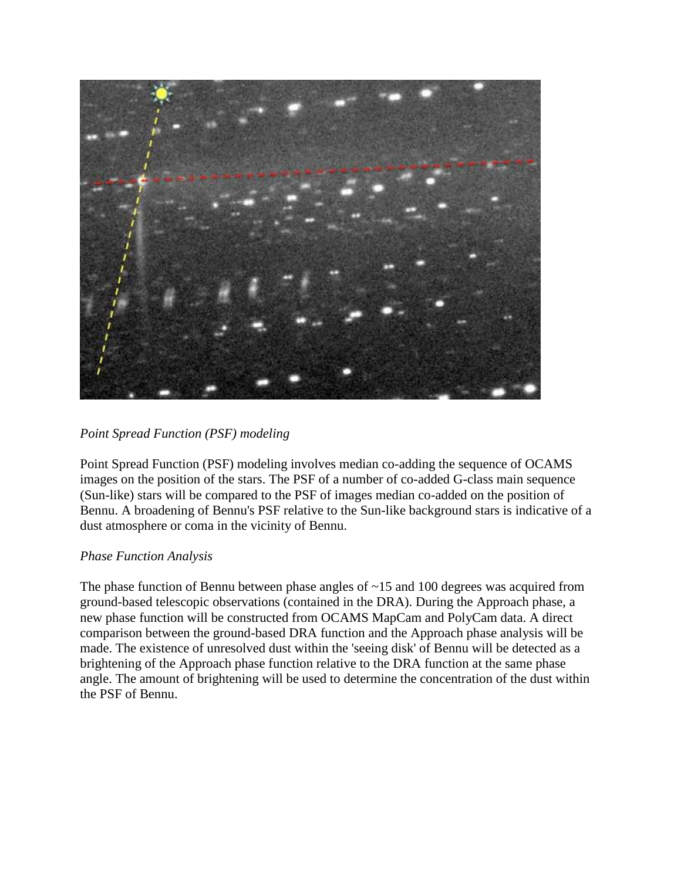

# *Point Spread Function (PSF) modeling*

Point Spread Function (PSF) modeling involves median co-adding the sequence of OCAMS images on the position of the stars. The PSF of a number of co-added G-class main sequence (Sun-like) stars will be compared to the PSF of images median co-added on the position of Bennu. A broadening of Bennu's PSF relative to the Sun-like background stars is indicative of a dust atmosphere or coma in the vicinity of Bennu.

### *Phase Function Analysis*

The phase function of Bennu between phase angles of ~15 and 100 degrees was acquired from ground-based telescopic observations (contained in the DRA). During the Approach phase, a new phase function will be constructed from OCAMS MapCam and PolyCam data. A direct comparison between the ground-based DRA function and the Approach phase analysis will be made. The existence of unresolved dust within the 'seeing disk' of Bennu will be detected as a brightening of the Approach phase function relative to the DRA function at the same phase angle. The amount of brightening will be used to determine the concentration of the dust within the PSF of Bennu.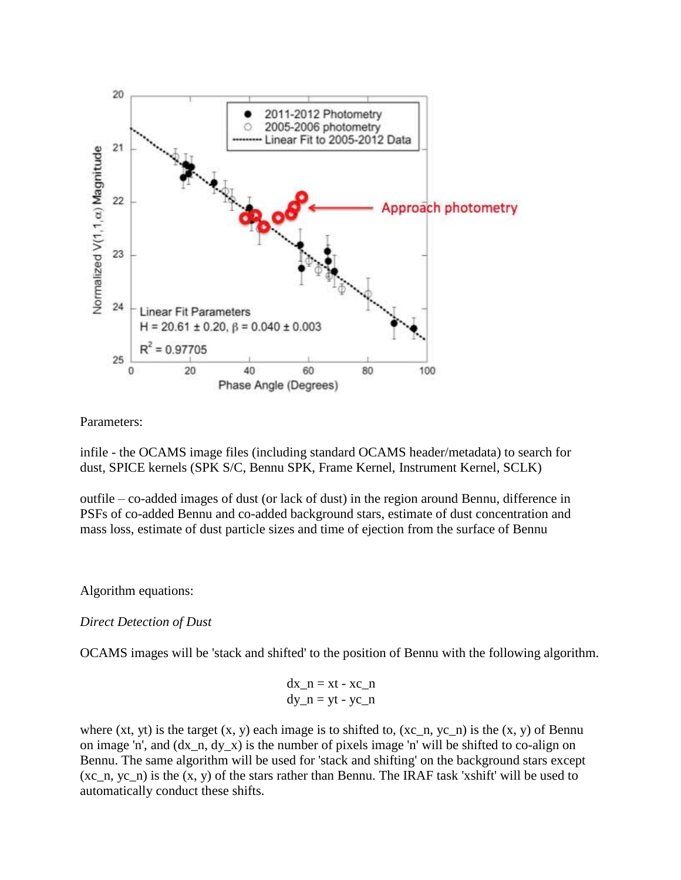

#### Parameters:

infile - the OCAMS image files (including standard OCAMS header/metadata) to search for dust, SPICE kernels (SPK S/C, Bennu SPK, Frame Kernel, Instrument Kernel, SCLK)

outfile – co-added images of dust (or lack of dust) in the region around Bennu, difference in PSFs of co-added Bennu and co-added background stars, estimate of dust concentration and mass loss, estimate of dust particle sizes and time of ejection from the surface of Bennu

### Algorithm equations:

### *Direct Detection of Dust*

OCAMS images will be 'stack and shifted' to the position of Bennu with the following algorithm.

$$
dx_n = xt - xc_n
$$
  
dy\_n = yt - yc\_n

where (xt, yt) is the target  $(x, y)$  each image is to shifted to,  $(xc, n, yc, n)$  is the  $(x, y)$  of Bennu on image 'n', and (dx\_n, dy\_x) is the number of pixels image 'n' will be shifted to co-align on Bennu. The same algorithm will be used for 'stack and shifting' on the background stars except (xc\_n, yc\_n) is the (x, y) of the stars rather than Bennu. The IRAF task 'xshift' will be used to automatically conduct these shifts.